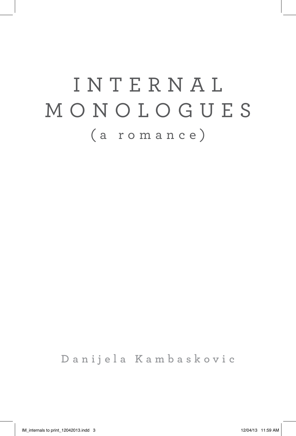# i n t e r n a l monologues (a romance)

**Danijela Kambaskovic**

IM\_internals to print\_12042013.indd 3 12/04/13 11:59 AM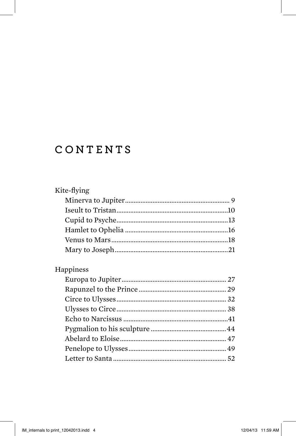## CONTENTS

| Kite-flying |  |
|-------------|--|
|             |  |
|             |  |
|             |  |
|             |  |
|             |  |
|             |  |
| Happiness   |  |
|             |  |
|             |  |
|             |  |
|             |  |
|             |  |
|             |  |
|             |  |
|             |  |
|             |  |
|             |  |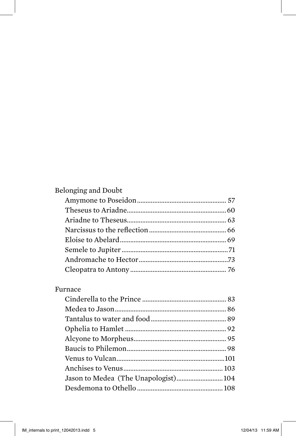| Belonging and Doubt |  |
|---------------------|--|
|                     |  |
|                     |  |
|                     |  |
|                     |  |
|                     |  |
|                     |  |
|                     |  |
|                     |  |

#### Furnace

| Jason to Medea (The Unapologist) 104 |  |
|--------------------------------------|--|
|                                      |  |
|                                      |  |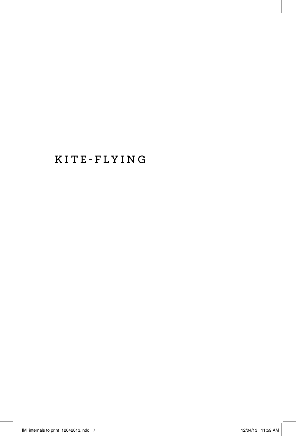## **Kite-flying**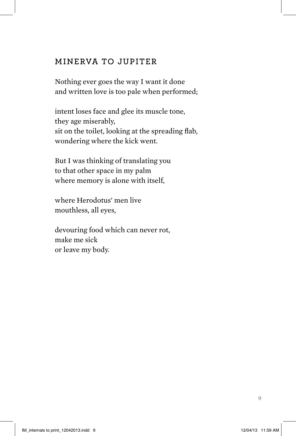#### **Minerva to JupiteR**

Nothing ever goes the way I want it done and written love is too pale when performed;

intent loses face and glee its muscle tone, they age miserably, sit on the toilet, looking at the spreading flab, wondering where the kick went.

But I was thinking of translating you to that other space in my palm where memory is alone with itself,

where Herodotus' men live mouthless, all eyes,

devouring food which can never rot, make me sick or leave my body.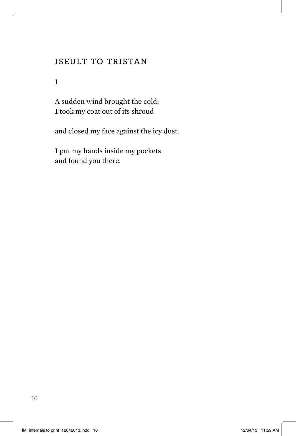#### **Iseult to Tristan**

1

A sudden wind brought the cold: I took my coat out of its shroud

and closed my face against the icy dust.

I put my hands inside my pockets and found you there.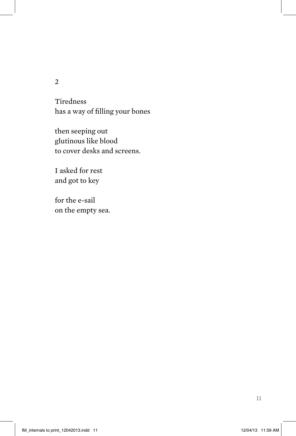Tiredness has a way of filling your bones

then seeping out glutinous like blood to cover desks and screens.

I asked for rest and got to key

for the e-sail on the empty sea.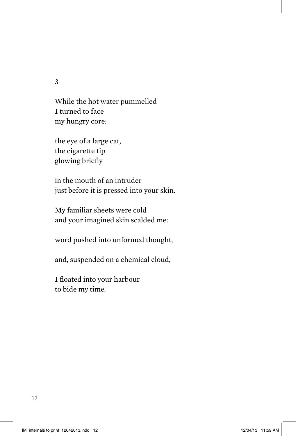While the hot water pummelled I turned to face my hungry core:

the eye of a large cat, the cigarette tip glowing briefly

in the mouth of an intruder just before it is pressed into your skin.

My familiar sheets were cold and your imagined skin scalded me:

word pushed into unformed thought,

and, suspended on a chemical cloud,

I floated into your harbour to bide my time.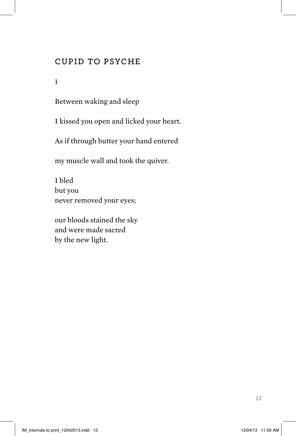### **Cupid to Psyche**

1

Between waking and sleep

I kissed you open and licked your heart.

As if through butter your hand entered

my muscle wall and took the quiver.

I bled but you never removed your eyes;

our bloods stained the sky and were made sacred by the new light.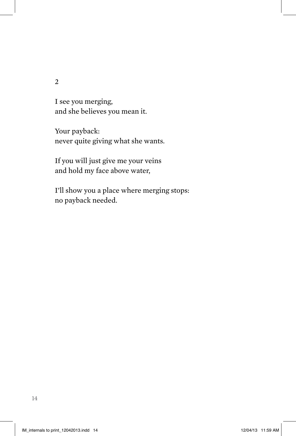I see you merging, and she believes you mean it.

Your payback: never quite giving what she wants.

If you will just give me your veins and hold my face above water,

I'll show you a place where merging stops: no payback needed.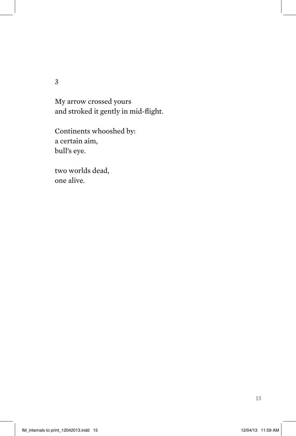My arrow crossed yours and stroked it gently in mid-flight.

Continents whooshed by: a certain aim, bull's eye.

two worlds dead, one alive.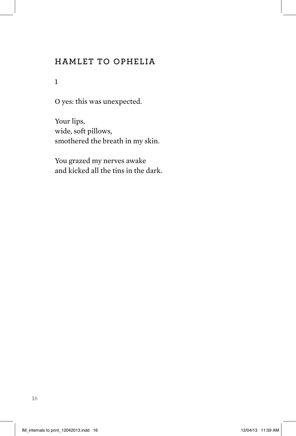### **Hamlet to Ophelia**

1

O yes: this was unexpected.

Your lips, wide, soft pillows, smothered the breath in my skin.

You grazed my nerves awake and kicked all the tins in the dark.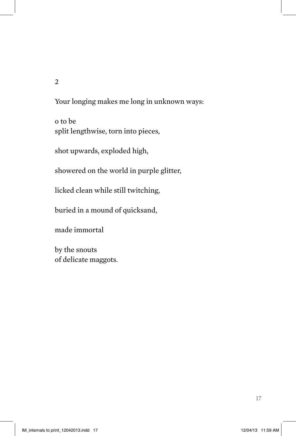Your longing makes me long in unknown ways:

o to be split lengthwise, torn into pieces,

shot upwards, exploded high,

showered on the world in purple glitter,

licked clean while still twitching,

buried in a mound of quicksand,

made immortal

by the snouts of delicate maggots.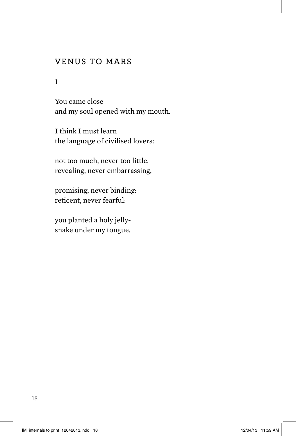#### **Venus to Mars**

1

You came close and my soul opened with my mouth.

I think I must learn the language of civilised lovers:

not too much, never too little, revealing, never embarrassing,

promising, never binding: reticent, never fearful:

you planted a holy jellysnake under my tongue.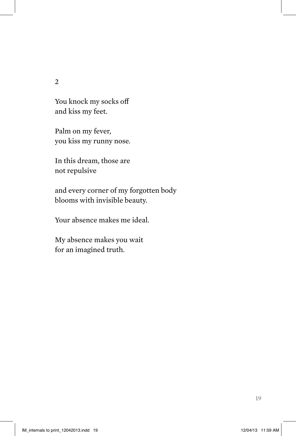You knock my socks off and kiss my feet.

Palm on my fever, you kiss my runny nose.

In this dream, those are not repulsive

and every corner of my forgotten body blooms with invisible beauty.

Your absence makes me ideal.

My absence makes you wait for an imagined truth.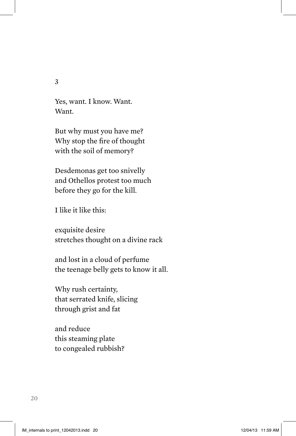Yes, want. I know. Want. Want.

But why must you have me? Why stop the fire of thought with the soil of memory?

Desdemonas get too snivelly and Othellos protest too much before they go for the kill.

I like it like this:

exquisite desire stretches thought on a divine rack

and lost in a cloud of perfume the teenage belly gets to know it all.

Why rush certainty, that serrated knife, slicing through grist and fat

and reduce this steaming plate to congealed rubbish?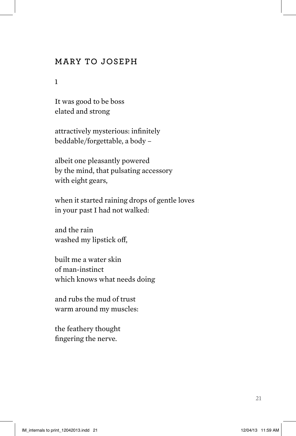#### **Mary to Joseph**

1

It was good to be boss elated and strong

attractively mysterious: infinitely beddable/forgettable, a body –

albeit one pleasantly powered by the mind, that pulsating accessory with eight gears,

when it started raining drops of gentle loves in your past I had not walked:

and the rain washed my lipstick off,

built me a water skin of man-instinct which knows what needs doing

and rubs the mud of trust warm around my muscles:

the feathery thought fingering the nerve.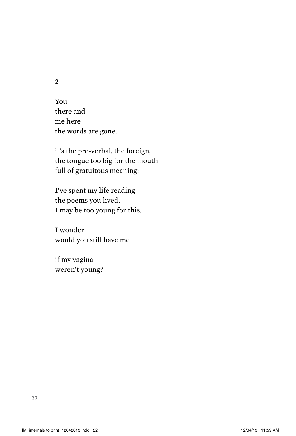You there and me here the words are gone:

it's the pre-verbal, the foreign, the tongue too big for the mouth full of gratuitous meaning:

I've spent my life reading the poems you lived. I may be too young for this.

I wonder: would you still have me

if my vagina weren't young?